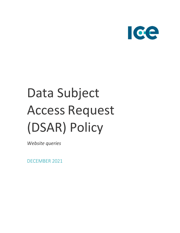

# Data Subject Access Request (DSAR) Policy

*Website queries*

DECEMBER 2021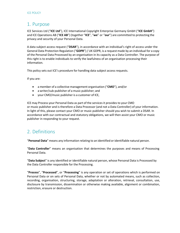#### 1. Purpose

ICE Services Ltd ("**ICE Ltd**"), ICE International Copyright Enterprise Germany GmbH ("**ICE GmbH**") and ICE Operations AB ("**ICE AB**") (together "**ICE**", "**we**" or "**our**") are committed to protecting the privacy and security of your Personal Data.

A data subject access request ("**DSAR**"), in accordance with an individual's right of access under the General Data Protection Regulation ("**GDPR**")/ UK GDPR, is a request made by an individual for a copy of the Personal Data Processed by an organisation in its capacity as a Data Controller. The purpose of this right is to enable individuals to verify the lawfulness of an organisation processing their information.

This policy sets out ICE's procedure for handling data subject access requests.

If you are:

- a member of a collective management organisation ("**CMO**"), and/or
- a writer/sub-publisher of a music publisher; and
- your CMO/music publisher is a customer of ICE,

ICE may Process your Personal Data as part of the services it provides to your CMO or music publisher and is therefore a Data Processor (and not a Data Controller) of your information. In light of this, please contact your CMO or music publisher should you wish to submit a DSAR. In accordance with our contractual and statutory obligations, we will then assist your CMO or music publisher in responding to your request.

# 2. Definitions

"**Personal Data**" means any information relating to an identified or identifiable natural person.

"**Data Controller**" means an organisation that determines the purposes and means of Processing Personal Data.

"**Data Subject**" is any identified or identifiable natural person, whose Personal Data is Processed by the Data Controller responsible for the Processing.

"**Process**", "**Processed**", or "**Processing**" is any operation or set of operations which is performed on Personal Data or on sets of Personal Data, whether or not by automated means, such as collection, recording, organisation, structuring, storage, adaptation or alteration, retrieval, consultation, use, disclosure by transmission, dissemination or otherwise making available, alignment or combination, restriction, erasure or destruction.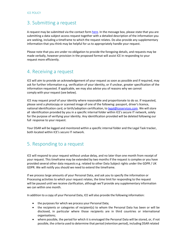### 3. Submitting a request

A request may be submitted via the contact form [here.](https://www.iceservices.com/contact/) In the message box, please state that you are submitting a data subject access request together with a detailed description of the information you are seeking, including a timeframe to which the request relates. Do also provide any supplementary information that you think may be helpful for us to appropriately handle your request.

Please note that you are under no obligation to provide the foregoing details, and requests may be made verbally, however provision in the proposed format will assist ICE in responding to your request more efficiently.

## 4. Receiving a request

ICE will aim to provide an acknowledgement of your request as soon as possible and if required, may ask for further information e.g. verification of your identity, or if unclear, greater specification of the information requested. If applicable, we may also advise you of reasons why we cannot comply with your request (see below).

ICE may request proof of your identity where reasonable and proportionate to do so. If requested, please send a photocopy or scanned image of one of the following: passport, driver's licence, national identification card, or birth/adoption certification, to [legal@iceservices.com.](mailto:legal@iceservices.com) We will store all identification provided by you in a specific internal folder within ICE's secure IT network, solely for the purpose of verifying your identity. Any identification provided will be deleted following our full response to your request.

Your DSAR will be logged and monitored within a specific internal folder and the Legal Task tracker, both located within ICE's secure IT network.

#### 5. Responding to a request

ICE will respond to your request without undue delay, and no later than one month from receipt of your request. This timeframe may be extended by two months if the request is complex or you have provided several other data requests e.g. related to other Data Subject rights under the GDPR / UK GDPR. We will notify you should we need to extend the timeframe.

If we process large amounts of your Personal Data, and ask you to specify the information or Processing activities to which your request relates, the time limit for responding to the request will be paused until we receive clarification, although we'll provide any supplementary information we can within one month.

In addition to a copy of your Personal Data, ICE will also provide the following information:

- the purposes for which we process your Personal Data;
- the recipients or categories of recipient(s) to whom the Personal Data has been or will be disclosed, in particular where those recipients are in third countries or international organisations;
- where possible, the period for which it is envisaged the Personal Data will be stored, or, if not possible, the criteria used to determine that period (retention period), including DSAR related